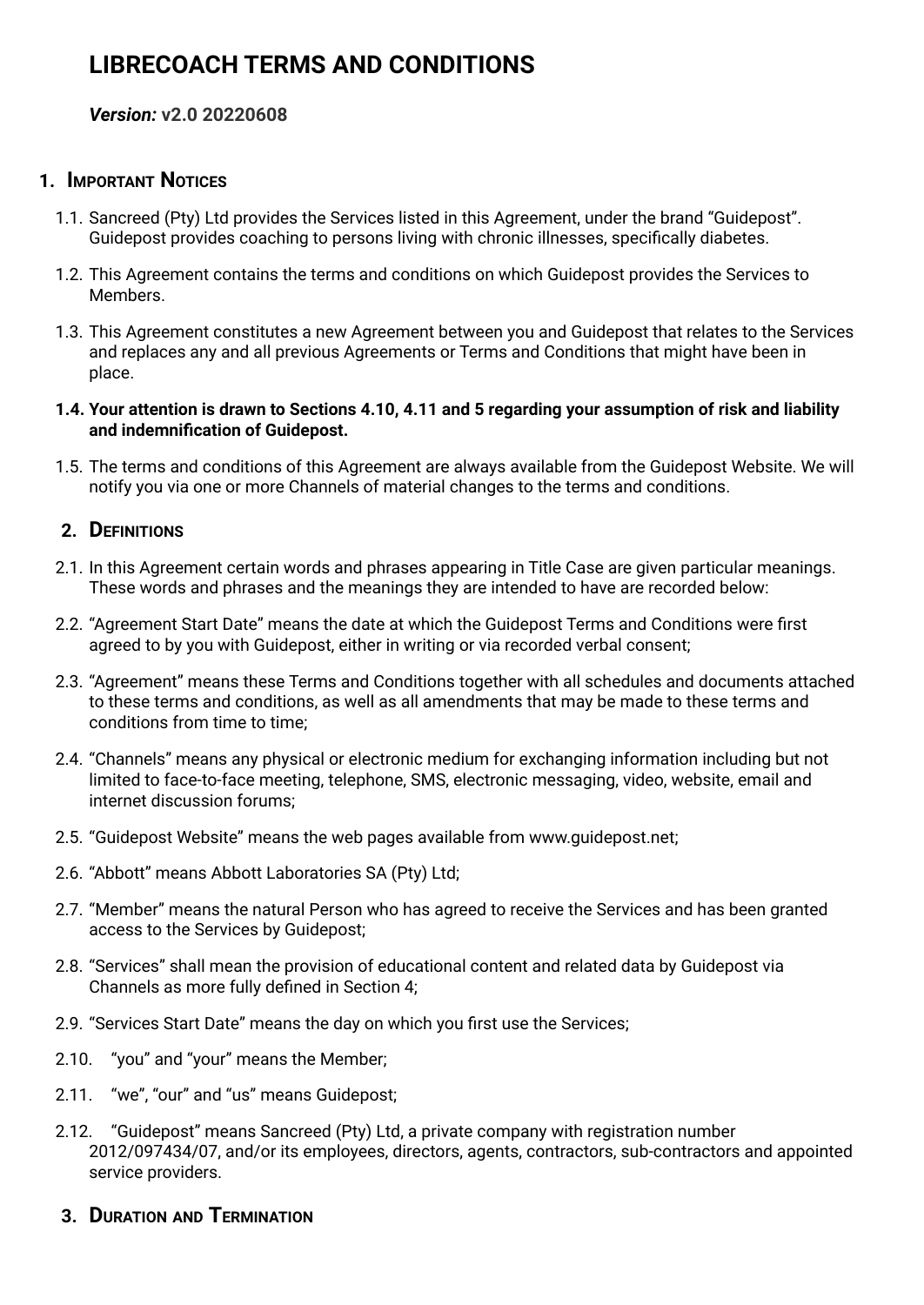# **LIBRECOACH TERMS AND CONDITIONS**

#### *Version:* **v2.0 20220608**

#### **1. IMPORTANT NOTICES**

- 1.1. Sancreed (Pty) Ltd provides the Services listed in this Agreement, under the brand "Guidepost". Guidepost provides coaching to persons living with chronic illnesses, specifically diabetes.
- 1.2. This Agreement contains the terms and conditions on which Guidepost provides the Services to Members.
- 1.3. This Agreement constitutes a new Agreement between you and Guidepost that relates to the Services and replaces any and all previous Agreements or Terms and Conditions that might have been in place.
- 1.4. Your attention is drawn to Sections 4.10, 4.11 and 5 regarding your assumption of risk and liability **and indemnification of Guidepost.**
- 1.5. The terms and conditions of this Agreement are always available from the Guidepost Website. We will notify you via one or more Channels of material changes to the terms and conditions.

# **2. DEFINITIONS**

- 2.1. In this Agreement certain words and phrases appearing in Title Case are given particular meanings. These words and phrases and the meanings they are intended to have are recorded below:
- 2.2. "Agreement Start Date" means the date at which the Guidepost Terms and Conditions were first agreed to by you with Guidepost, either in writing or via recorded verbal consent;
- 2.3. "Agreement" means these Terms and Conditions together with all schedules and documents attached to these terms and conditions, as well as all amendments that may be made to these terms and conditions from time to time;
- 2.4. "Channels" means any physical or electronic medium for exchanging information including but not limited to face-to-face meeting, telephone, SMS, electronic messaging, video, website, email and internet discussion forums;
- 2.5. "Guidepost Website" means the web pages available from www.guidepost.net;
- 2.6. "Abbott" means Abbott Laboratories SA (Pty) Ltd;
- 2.7. "Member" means the natural Person who has agreed to receive the Services and has been granted access to the Services by Guidepost;
- 2.8. "Services" shall mean the provision of educational content and related data by Guidepost via Channels as more fully defined in Section 4;
- 2.9. "Services Start Date" means the day on which you first use the Services;
- 2.10. "you" and "your" means the Member;
- 2.11. "we", "our" and "us" means Guidepost;
- 2.12. "Guidepost" means Sancreed (Pty) Ltd, a private company with registration number 2012/097434/07, and/or its employees, directors, agents, contractors, sub-contractors and appointed service providers.
- **3. DURATION AND TERMINATION**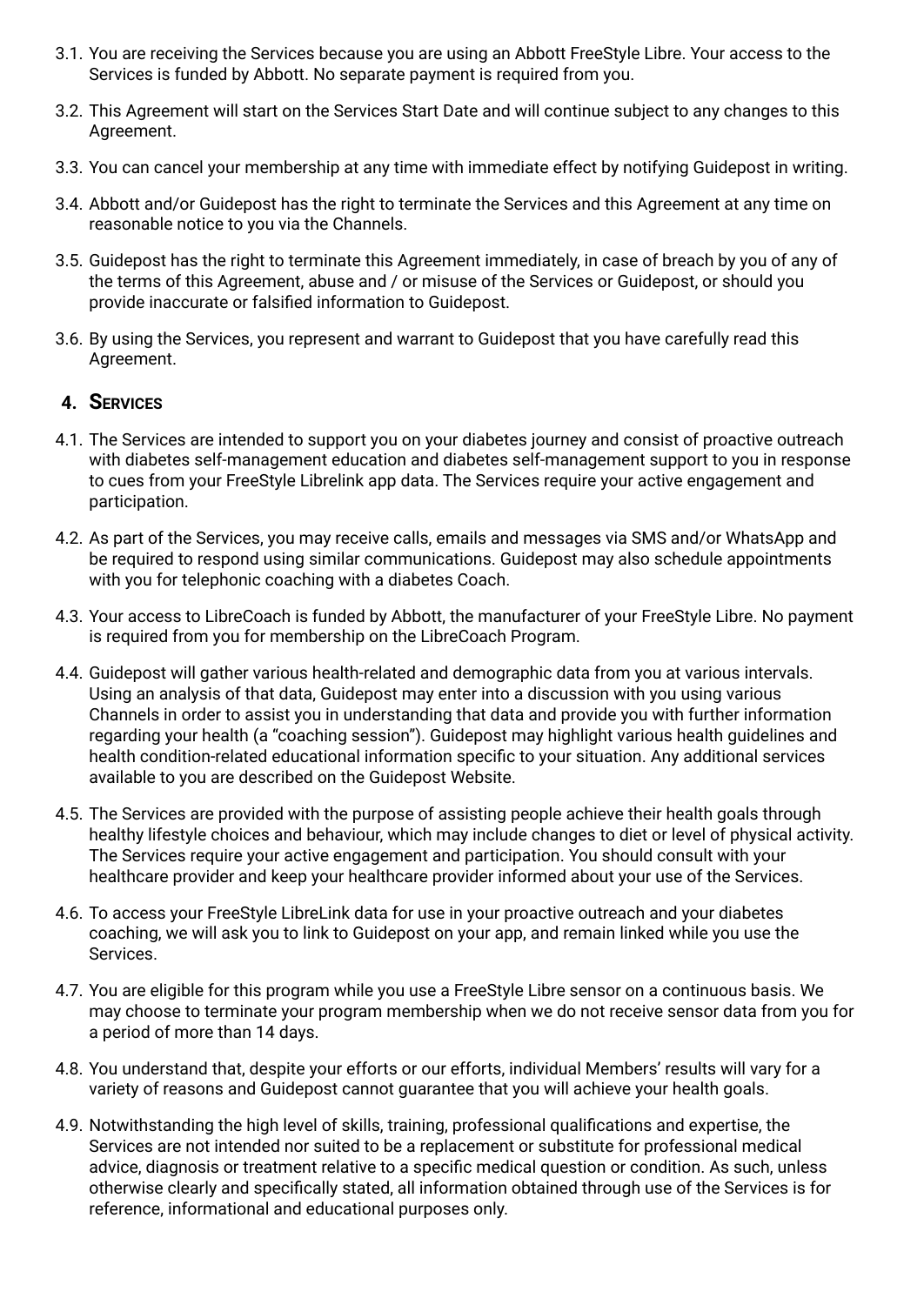- 3.1. You are receiving the Services because you are using an Abbott FreeStyle Libre. Your access to the Services is funded by Abbott. No separate payment is required from you.
- 3.2. This Agreement will start on the Services Start Date and will continue subject to any changes to this Agreement.
- 3.3. You can cancel your membership at any time with immediate effect by notifying Guidepost in writing.
- 3.4. Abbott and/or Guidepost has the right to terminate the Services and this Agreement at any time on reasonable notice to you via the Channels.
- 3.5. Guidepost has the right to terminate this Agreement immediately, in case of breach by you of any of the terms of this Agreement, abuse and / or misuse of the Services or Guidepost, or should you provide inaccurate or falsified information to Guidepost.
- 3.6. By using the Services, you represent and warrant to Guidepost that you have carefully read this Agreement.

#### **4. SERVICES**

- 4.1. The Services are intended to support you on your diabetes journey and consist of proactive outreach with diabetes self-management education and diabetes self-management support to you in response to cues from your FreeStyle Librelink app data. The Services require your active engagement and participation.
- 4.2. As part of the Services, you may receive calls, emails and messages via SMS and/or WhatsApp and be required to respond using similar communications. Guidepost may also schedule appointments with you for telephonic coaching with a diabetes Coach.
- 4.3. Your access to LibreCoach is funded by Abbott, the manufacturer of your FreeStyle Libre. No payment is required from you for membership on the LibreCoach Program.
- 4.4. Guidepost will gather various health-related and demographic data from you at various intervals. Using an analysis of that data, Guidepost may enter into a discussion with you using various Channels in order to assist you in understanding that data and provide you with further information regarding your health (a "coaching session"). Guidepost may highlight various health guidelines and health condition-related educational information specific to your situation. Any additional services available to you are described on the Guidepost Website.
- 4.5. The Services are provided with the purpose of assisting people achieve their health goals through healthy lifestyle choices and behaviour, which may include changes to diet or level of physical activity. The Services require your active engagement and participation. You should consult with your healthcare provider and keep your healthcare provider informed about your use of the Services.
- 4.6. To access your FreeStyle LibreLink data for use in your proactive outreach and your diabetes coaching, we will ask you to link to Guidepost on your app, and remain linked while you use the Services.
- 4.7. You are eligible for this program while you use a FreeStyle Libre sensor on a continuous basis. We may choose to terminate your program membership when we do not receive sensor data from you for a period of more than 14 days.
- 4.8. You understand that, despite your efforts or our efforts, individual Members' results will vary for a variety of reasons and Guidepost cannot guarantee that you will achieve your health goals.
- 4.9. Notwithstanding the high level of skills, training, professional qualifications and expertise, the Services are not intended nor suited to be a replacement or substitute for professional medical advice, diagnosis or treatment relative to a specific medical question or condition. As such, unless otherwise clearly and specifically stated, all information obtained through use of the Services is for reference, informational and educational purposes only.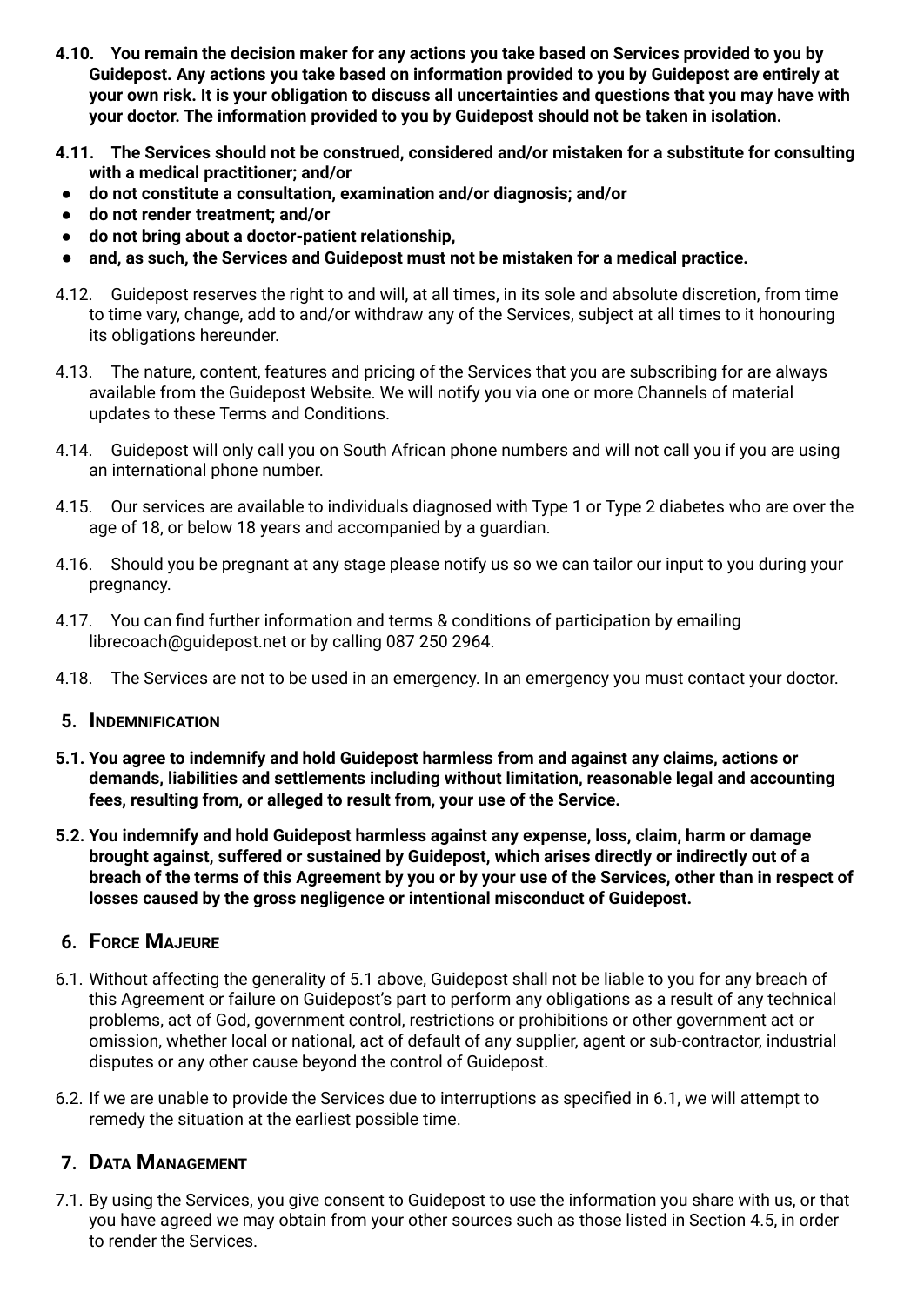- **4.10. You remain the decision maker for any actions you take based on Services provided to you by Guidepost. Any actions you take based on information provided to you by Guidepost are entirely at** your own risk. It is your obligation to discuss all uncertainties and questions that you may have with **your doctor. The information provided to you by Guidepost should not be taken in isolation.**
- **4.11. The Services should not be construed, considered and/or mistaken for a substitute for consulting with a medical practitioner; and/or**
- **● do not constitute a consultation, examination and/or diagnosis; and/or**
- **● do not render treatment; and/or**
- **● do not bring about a doctor-patient relationship,**
- **and, as such, the Services and Guidepost must not be mistaken for a medical practice.**
- 4.12. Guidepost reserves the right to and will, at all times, in its sole and absolute discretion, from time to time vary, change, add to and/or withdraw any of the Services, subject at all times to it honouring its obligations hereunder.
- 4.13. The nature, content, features and pricing of the Services that you are subscribing for are always available from the Guidepost Website. We will notify you via one or more Channels of material updates to these Terms and Conditions.
- 4.14. Guidepost will only call you on South African phone numbers and will not call you if you are using an international phone number.
- 4.15. Our services are available to individuals diagnosed with Type 1 or Type 2 diabetes who are over the age of 18, or below 18 years and accompanied by a guardian.
- 4.16. Should you be pregnant at any stage please notify us so we can tailor our input to you during your pregnancy.
- 4.17. You can find further information and terms & conditions of participation by emailing librecoach@guidepost.net or by calling 087 250 2964.
- 4.18. The Services are not to be used in an emergency. In an emergency you must contact your doctor.
- **5. INDEMNIFICATION**
- **5.1. You agree to indemnify and hold Guidepost harmless from and against any claims, actions or demands, liabilities and settlements including without limitation, reasonable legal and accounting fees, resulting from, or alleged to result from, your use of the Service.**
- **5.2. You indemnify and hold Guidepost harmless against any expense, loss, claim, harm or damage brought against, suffered or sustained by Guidepost, which arises directly or indirectly out of a** breach of the terms of this Agreement by you or by your use of the Services, other than in respect of **losses caused by the gross negligence or intentional misconduct of Guidepost.**

# **6. FORCE MAJEURE**

- 6.1. Without affecting the generality of 5.1 above, Guidepost shall not be liable to you for any breach of this Agreement or failure on Guidepost's part to perform any obligations as a result of any technical problems, act of God, government control, restrictions or prohibitions or other government act or omission, whether local or national, act of default of any supplier, agent or sub-contractor, industrial disputes or any other cause beyond the control of Guidepost.
- 6.2. If we are unable to provide the Services due to interruptions as specified in 6.1, we will attempt to remedy the situation at the earliest possible time.

# **7. DATA MANAGEMENT**

7.1. By using the Services, you give consent to Guidepost to use the information you share with us, or that you have agreed we may obtain from your other sources such as those listed in Section 4.5, in order to render the Services.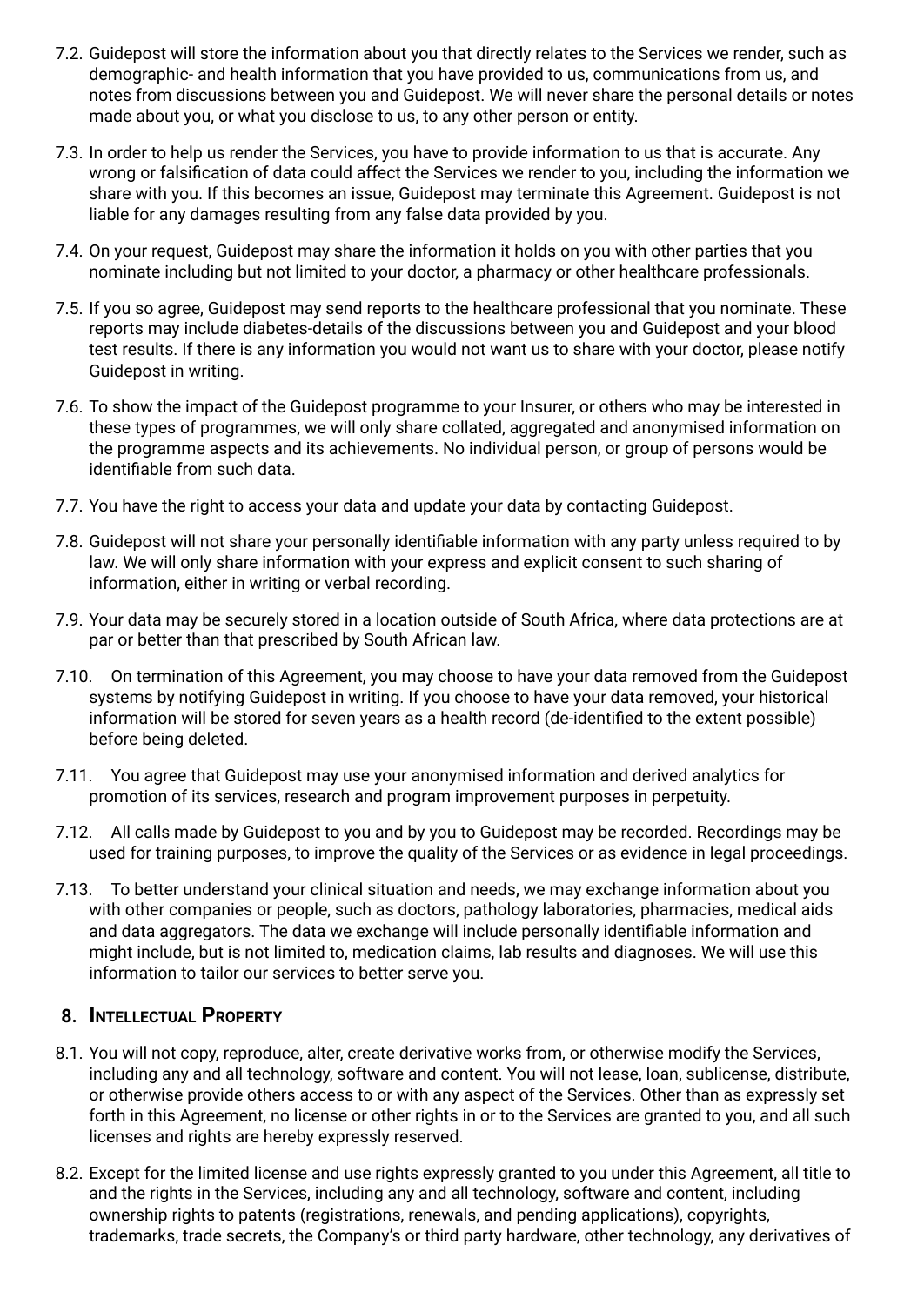- 7.2. Guidepost will store the information about you that directly relates to the Services we render, such as demographic- and health information that you have provided to us, communications from us, and notes from discussions between you and Guidepost. We will never share the personal details or notes made about you, or what you disclose to us, to any other person or entity.
- 7.3. In order to help us render the Services, you have to provide information to us that is accurate. Any wrong or falsification of data could affect the Services we render to you, including the information we share with you. If this becomes an issue, Guidepost may terminate this Agreement. Guidepost is not liable for any damages resulting from any false data provided by you.
- 7.4. On your request, Guidepost may share the information it holds on you with other parties that you nominate including but not limited to your doctor, a pharmacy or other healthcare professionals.
- 7.5. If you so agree, Guidepost may send reports to the healthcare professional that you nominate. These reports may include diabetes-details of the discussions between you and Guidepost and your blood test results. If there is any information you would not want us to share with your doctor, please notify Guidepost in writing.
- 7.6. To show the impact of the Guidepost programme to your Insurer, or others who may be interested in these types of programmes, we will only share collated, aggregated and anonymised information on the programme aspects and its achievements. No individual person, or group of persons would be identifiable from such data.
- 7.7. You have the right to access your data and update your data by contacting Guidepost.
- 7.8. Guidepost will not share your personally identifiable information with any party unless required to by law. We will only share information with your express and explicit consent to such sharing of information, either in writing or verbal recording.
- 7.9. Your data may be securely stored in a location outside of South Africa, where data protections are at par or better than that prescribed by South African law.
- 7.10. On termination of this Agreement, you may choose to have your data removed from the Guidepost systems by notifying Guidepost in writing. If you choose to have your data removed, your historical information will be stored for seven years as a health record (de-identified to the extent possible) before being deleted.
- 7.11. You agree that Guidepost may use your anonymised information and derived analytics for promotion of its services, research and program improvement purposes in perpetuity.
- 7.12. All calls made by Guidepost to you and by you to Guidepost may be recorded. Recordings may be used for training purposes, to improve the quality of the Services or as evidence in legal proceedings.
- 7.13. To better understand your clinical situation and needs, we may exchange information about you with other companies or people, such as doctors, pathology laboratories, pharmacies, medical aids and data aggregators. The data we exchange will include personally identifiable information and might include, but is not limited to, medication claims, lab results and diagnoses. We will use this information to tailor our services to better serve you.

# **8. INTELLECTUAL PROPERTY**

- 8.1. You will not copy, reproduce, alter, create derivative works from, or otherwise modify the Services, including any and all technology, software and content. You will not lease, loan, sublicense, distribute, or otherwise provide others access to or with any aspect of the Services. Other than as expressly set forth in this Agreement, no license or other rights in or to the Services are granted to you, and all such licenses and rights are hereby expressly reserved.
- 8.2. Except for the limited license and use rights expressly granted to you under this Agreement, all title to and the rights in the Services, including any and all technology, software and content, including ownership rights to patents (registrations, renewals, and pending applications), copyrights, trademarks, trade secrets, the Company's or third party hardware, other technology, any derivatives of